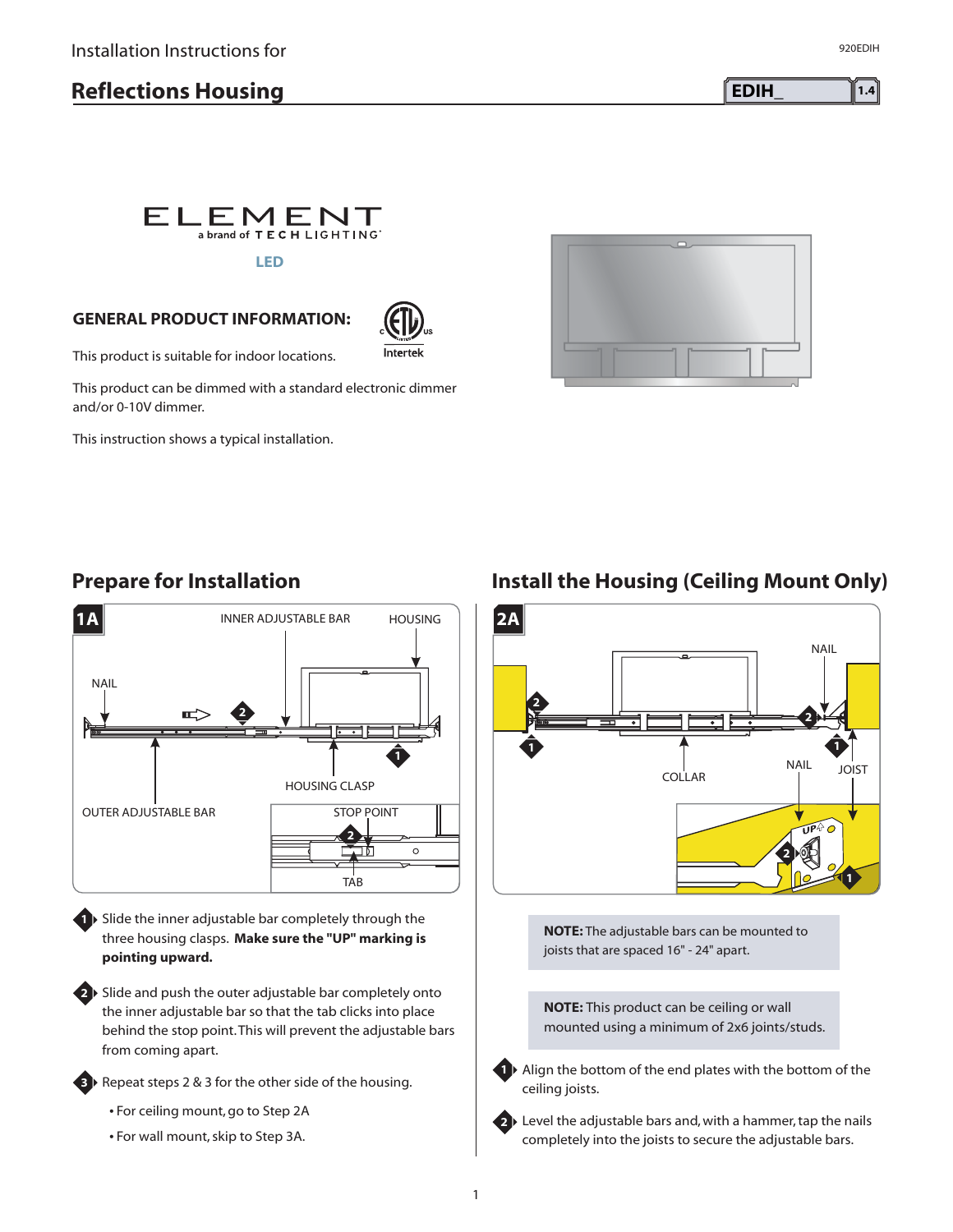# **Reflections Housing EDIH EDIH 1.4**



#### **GENERAL PRODUCT INFORMATION:**



This product is suitable for indoor locations.

This product can be dimmed with a standard electronic dimmer and/or 0-10V dimmer.

This instruction shows a typical installation.



## **Prepare for Installation**



**1** Slide the inner adjustable bar completely through the three housing clasps. **Make sure the "UP" marking is pointing upward.**

**2** Slide and push the outer adjustable bar completely onto the inner adjustable bar so that the tab clicks into place behind the stop point.This will prevent the adjustable bars from coming apart.

Repeat steps 2 & 3 for the other side of the housing.

- For ceiling mount, go to Step 2A

**3**

- For wall mount, skip to Step 3A.

### **Install the Housing (Ceiling Mount Only)**



**NOTE:** The adjustable bars can be mounted to joists that are spaced 16" - 24" apart.

**NOTE:** This product can be ceiling or wall mounted using a minimum of 2x6 joints/studs.



**1** Align the bottom of the end plates with the bottom of the ceiling joists.



2 Level the adjustable bars and, with a hammer, tap the nails completely into the joists to secure the adjustable bars.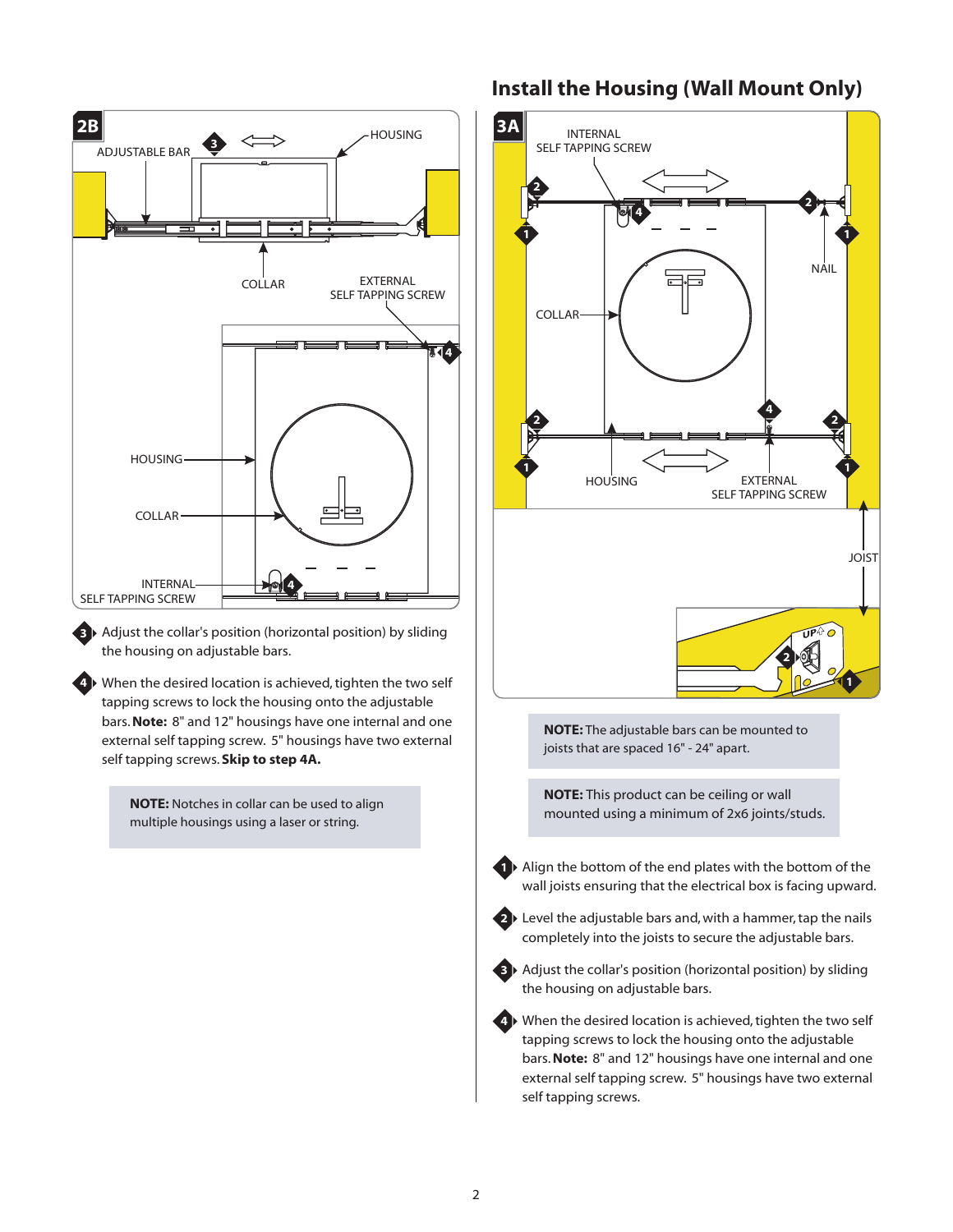

Adjust the collar's position (horizontal position) by sliding **3** the housing on adjustable bars.

**4** ▶ When the desired location is achieved, tighten the two self tapping screws to lock the housing onto the adjustable bars. Note: 8" and 12" housings have one internal and one external self tapping screw. 5" housings have two external self tapping screws. **Skip to step 4A.**

> **NOTE:** Notches in collar can be used to align multiple housings using a laser or string.

#### **Install the Housing (Wall Mount Only)**



**4** ▶ When the desired location is achieved, tighten the two self tapping screws to lock the housing onto the adjustable bars. Note: 8" and 12" housings have one internal and one external self tapping screw. 5" housings have two external self tapping screws.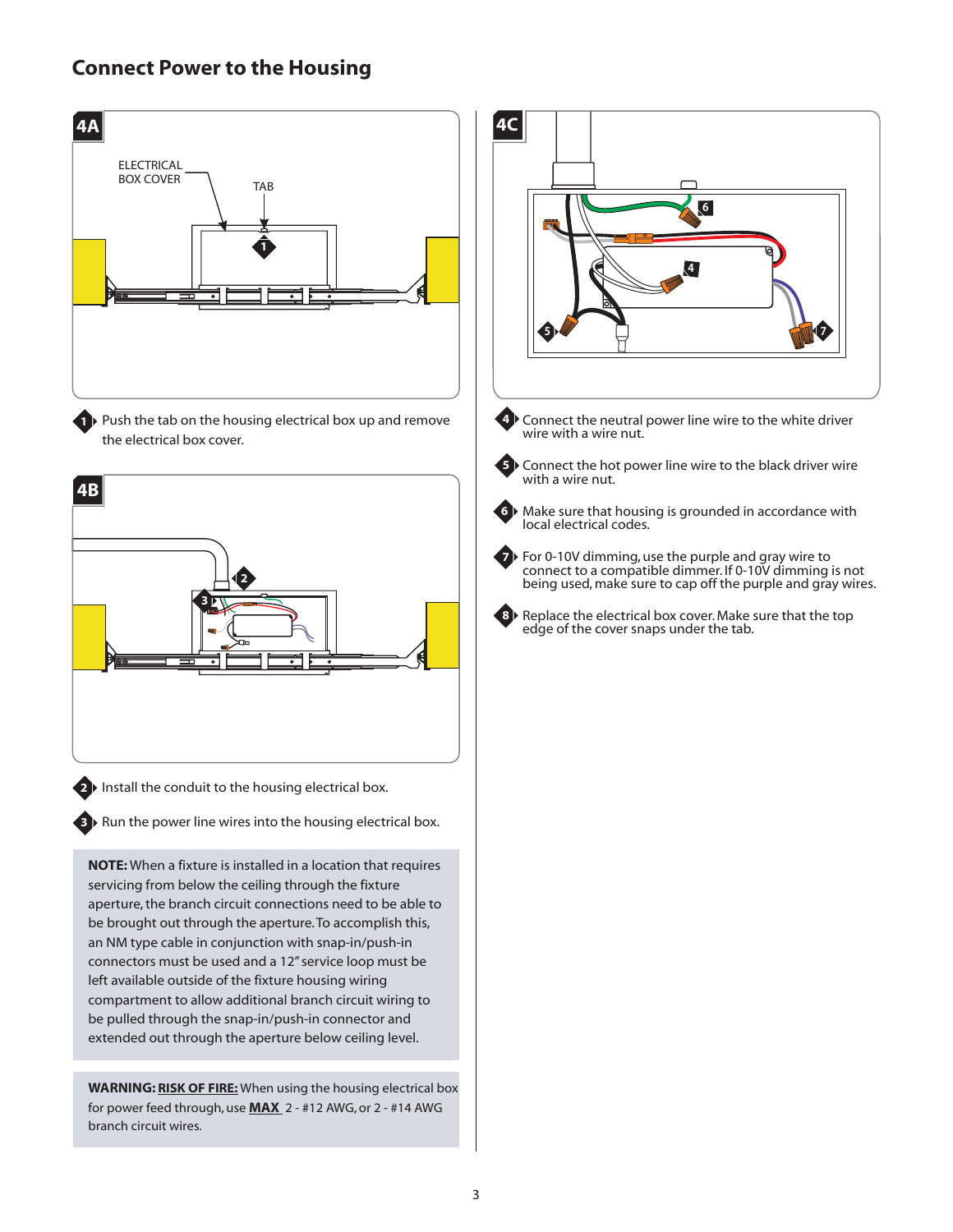## **Connect Power to the Housing**



**WARNING: RISK OF FIRE:** When using the housing electrical box for power feed through, use **MAX** 2 - #12 AWG, or 2 - #14 AWG

connectors must be used and a 12" service loop must be left available outside of the fixture housing wiring compartment to allow additional branch circuit wiring to be pulled through the snap-in/push-in connector and extended out through the aperture below ceiling level.

branch circuit wires.